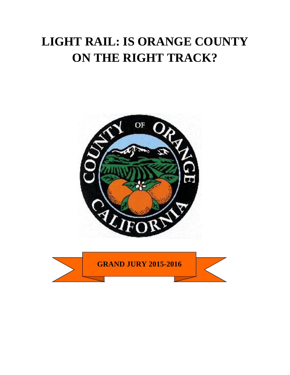# **LIGHT RAIL: IS ORANGE COUNTY ON THE RIGHT TRACK?**



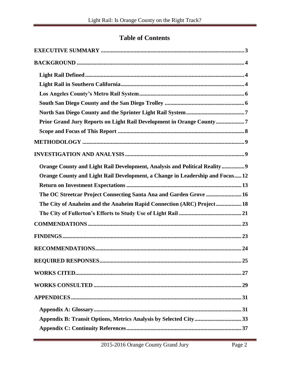### **Table of Contents**

| Prior Grand Jury Reports on Light Rail Development in Orange County7          |
|-------------------------------------------------------------------------------|
|                                                                               |
|                                                                               |
|                                                                               |
| Orange County and Light Rail Development, Analysis and Political Reality 9    |
| Orange County and Light Rail Development, a Change in Leadership and Focus 12 |
|                                                                               |
| The OC Streetcar Project Connecting Santa Ana and Garden Grove  16            |
| The City of Anaheim and the Anaheim Rapid Connection (ARC) Project 18         |
|                                                                               |
|                                                                               |
|                                                                               |
|                                                                               |
|                                                                               |
|                                                                               |
|                                                                               |
|                                                                               |
|                                                                               |
| Appendix B: Transit Options, Metrics Analysis by Selected City33              |
|                                                                               |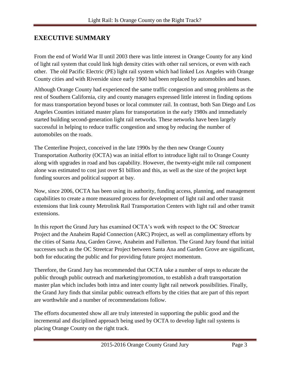### <span id="page-3-0"></span>**EXECUTIVE SUMMARY**

From the end of World War II until 2003 there was little interest in Orange County for any kind of light rail system that could link high density cities with other rail services, or even with each other. The old Pacific Electric (PE) light rail system which had linked Los Angeles with Orange County cities and with Riverside since early 1900 had been replaced by automobiles and buses.

Although Orange County had experienced the same traffic congestion and smog problems as the rest of Southern California, city and county managers expressed little interest in finding options for mass transportation beyond buses or local commuter rail. In contrast, both San Diego and Los Angeles Counties initiated master plans for transportation in the early 1980s and immediately started building second-generation light rail networks. These networks have been largely successful in helping to reduce traffic congestion and smog by reducing the number of automobiles on the roads.

The Centerline Project, conceived in the late 1990s by the then new Orange County Transportation Authority (OCTA) was an initial effort to introduce light rail to Orange County along with upgrades in road and bus capability. However, the twenty-eight mile rail component alone was estimated to cost just over \$1 billion and this, as well as the size of the project kept funding sources and political support at bay.

Now, since 2006, OCTA has been using its authority, funding access, planning, and management capabilities to create a more measured process for development of light rail and other transit extensions that link county Metrolink Rail Transportation Centers with light rail and other transit extensions.

In this report the Grand Jury has examined OCTA's work with respect to the OC Streetcar Project and the Anaheim Rapid Connection (ARC) Project, as well as complimentary efforts by the cities of Santa Ana, Garden Grove, Anaheim and Fullerton. The Grand Jury found that initial successes such as the OC Streetcar Project between Santa Ana and Garden Grove are significant, both for educating the public and for providing future project momentum.

Therefore, the Grand Jury has recommended that OCTA take a number of steps to educate the public through public outreach and marketing/promotion, to establish a draft transportation master plan which includes both intra and inter county light rail network possibilities. Finally, the Grand Jury finds that similar public outreach efforts by the cities that are part of this report are worthwhile and a number of recommendations follow.

The efforts documented show all are truly interested in supporting the public good and the incremental and disciplined approach being used by OCTA to develop light rail systems is placing Orange County on the right track.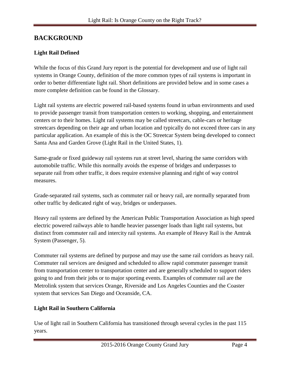### <span id="page-4-0"></span>**BACKGROUND**

#### <span id="page-4-1"></span>**Light Rail Defined**

While the focus of this Grand Jury report is the potential for development and use of light rail systems in Orange County, definition of the more common types of rail systems is important in order to better differentiate light rail. Short definitions are provided below and in some cases a more complete definition can be found in the Glossary.

Light rail systems are electric powered rail-based systems found in urban environments and used to provide passenger transit from transportation centers to working, shopping, and entertainment centers or to their homes. Light rail systems may be called streetcars, cable-cars or heritage streetcars depending on their age and urban location and typically do not exceed three cars in any particular application. An example of this is the OC Streetcar System being developed to connect Santa Ana and Garden Grove (Light Rail in the United States, 1).

Same-grade or fixed guideway rail systems run at street level, sharing the same corridors with automobile traffic. While this normally avoids the expense of bridges and underpasses to separate rail from other traffic, it does require extensive planning and right of way control measures.

Grade-separated rail systems, such as commuter rail or heavy rail, are normally separated from other traffic by dedicated right of way, bridges or underpasses.

Heavy rail systems are defined by the American Public Transportation Association as high speed electric powered railways able to handle heavier passenger loads than light rail systems, but distinct from commuter rail and intercity rail systems. An example of Heavy Rail is the Amtrak System (Passenger, 5).

Commuter rail systems are defined by purpose and may use the same rail corridors as heavy rail. Commuter rail services are designed and scheduled to allow rapid commuter passenger transit from transportation center to transportation center and are generally scheduled to support riders going to and from their jobs or to major sporting events. Examples of commuter rail are the Metrolink system that services Orange, Riverside and Los Angeles Counties and the Coaster system that services San Diego and Oceanside, CA.

#### <span id="page-4-2"></span>**Light Rail in Southern California**

Use of light rail in Southern California has transitioned through several cycles in the past 115 years.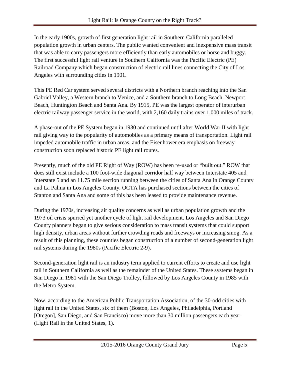In the early 1900s, growth of first generation light rail in Southern California paralleled population growth in urban centers. The public wanted convenient and inexpensive mass transit that was able to carry passengers more efficiently than early automobiles or horse and buggy. The first successful light rail venture in Southern California was the Pacific Electric (PE) Railroad Company which began construction of electric rail lines connecting the City of Los Angeles with surrounding cities in 1901.

This PE Red Car system served several districts with a Northern branch reaching into the San Gabriel Valley, a Western branch to Venice, and a Southern branch to Long Beach, Newport Beach, Huntington Beach and Santa Ana. By 1915, PE was the largest operator of interurban electric railway passenger service in the world, with 2,160 daily trains over 1,000 miles of track.

A phase-out of the PE System began in 1930 and continued until after World War II with light rail giving way to the popularity of automobiles as a primary means of transportation. Light rail impeded automobile traffic in urban areas, and the Eisenhower era emphasis on freeway construction soon replaced historic PE light rail routes.

Presently, much of the old PE Right of Way (ROW) has been re-used or "built out." ROW that does still exist include a 100 foot-wide diagonal corridor half way between Interstate 405 and Interstate 5 and an 11.75 mile section running between the cities of Santa Ana in Orange County and La Palma in Los Angeles County. OCTA has purchased sections between the cities of Stanton and Santa Ana and some of this has been leased to provide maintenance revenue.

During the 1970s, increasing air quality concerns as well as urban population growth and the 1973 oil crisis spurred yet another cycle of light rail development. Los Angeles and San Diego County planners began to give serious consideration to mass transit systems that could support high density, urban areas without further crowding roads and freeways or increasing smog. As a result of this planning, these counties began construction of a number of second-generation light rail systems during the 1980s (Pacific Electric 2-9).

Second-generation light rail is an industry term applied to current efforts to create and use light rail in Southern California as well as the remainder of the United States. These systems began in San Diego in 1981 with the San Diego Trolley, followed by Los Angeles County in 1985 with the Metro System.

Now, according to the American Public Transportation Association, of the 30-odd cities with light rail in the United States, six of them (Boston, Los Angeles, Philadelphia, Portland [Oregon], San Diego, and San Francisco) move more than 30 million passengers each year (Light Rail in the United States, 1).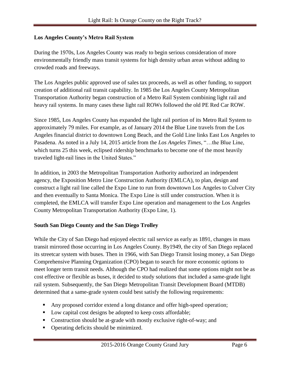#### <span id="page-6-0"></span>**Los Angeles County's Metro Rail System**

During the 1970s, Los Angeles County was ready to begin serious consideration of more environmentally friendly mass transit systems for high density urban areas without adding to crowded roads and freeways.

The Los Angeles public approved use of sales tax proceeds, as well as other funding, to support creation of additional rail transit capability. In 1985 the Los Angeles County Metropolitan Transportation Authority began construction of a Metro Rail System combining light rail and heavy rail systems. In many cases these light rail ROWs followed the old PE Red Car ROW.

Since 1985, Los Angeles County has expanded the light rail portion of its Metro Rail System to approximately 79 miles. For example, as of January 2014 the Blue Line travels from the Los Angeles financial district to downtown Long Beach, and the Gold Line links East Los Angeles to Pasadena. As noted in a July 14, 2015 article from the *Los Angeles Times*, "…the Blue Line, which turns 25 this week, eclipsed ridership benchmarks to become one of the most heavily traveled light-rail lines in the United States."

In addition, in 2003 the Metropolitan Transportation Authority authorized an independent agency, the Exposition Metro Line Construction Authority (EMLCA), to plan, design and construct a light rail line called the Expo Line to run from downtown Los Angeles to Culver City and then eventually to Santa Monica. The Expo Line is still under construction. When it is completed, the EMLCA will transfer Expo Line operation and management to the Los Angeles County Metropolitan Transportation Authority (Expo Line, 1).

### <span id="page-6-1"></span>**South San Diego County and the San Diego Trolley**

While the City of San Diego had enjoyed electric rail service as early as 1891, changes in mass transit mirrored those occurring in Los Angeles County. By1949, the city of San Diego replaced its streetcar system with buses. Then in 1966, with San Diego Transit losing money, a San Diego Comprehensive Planning Organization (CPO) began to search for more economic options to meet longer term transit needs. Although the CPO had realized that some options might not be as cost effective or flexible as buses, it decided to study solutions that included a same-grade light rail system. Subsequently, the San Diego Metropolitan Transit Development Board (MTDB) determined that a same-grade system could best satisfy the following requirements:

- Any proposed corridor extend a long distance and offer high-speed operation;
- Low capital cost designs be adopted to keep costs affordable;
- Construction should be at-grade with mostly exclusive right-of-way; and
- Operating deficits should be minimized.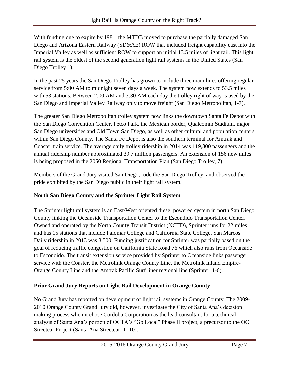With funding due to expire by 1981, the MTDB moved to purchase the partially damaged San Diego and Arizona Eastern Railway (SD&AE) ROW that included freight capability east into the Imperial Valley as well as sufficient ROW to support an initial 13.5 miles of light rail. This light rail system is the oldest of the second generation light rail systems in the United States (San Diego Trolley 1).

In the past 25 years the San Diego Trolley has grown to include three main lines offering regular service from 5:00 AM to midnight seven days a week. The system now extends to 53.5 miles with 53 stations. Between 2:00 AM and 3:30 AM each day the trolley right of way is used by the San Diego and Imperial Valley Railway only to move freight (San Diego Metropolitan, 1-7).

The greater San Diego Metropolitan trolley system now links the downtown Santa Fe Depot with the San Diego Convention Center, Petco Park, the Mexican border, Qualcomm Stadium, major San Diego universities and Old Town San Diego, as well as other cultural and population centers within San Diego County. The Santa Fe Depot is also the southern terminal for Amtrak and Coaster train service. The average daily trolley ridership in 2014 was 119,800 passengers and the annual ridership number approximated 39.7 million passengers. An extension of 156 new miles is being proposed in the 2050 Regional Transportation Plan (San Diego Trolley, 7).

Members of the Grand Jury visited San Diego, rode the San Diego Trolley, and observed the pride exhibited by the San Diego public in their light rail system.

### <span id="page-7-0"></span>**North San Diego County and the Sprinter Light Rail System**

The Sprinter light rail system is an East/West oriented diesel powered system in north San Diego County linking the Oceanside Transportation Center to the Escondido Transportation Center. Owned and operated by the North County Transit District (NCTD), Sprinter runs for 22 miles and has 15 stations that include Palomar College and California State College, San Marcos. Daily ridership in 2013 was 8,500. Funding justification for Sprinter was partially based on the goal of reducing traffic congestion on California State Road 76 which also runs from Oceanside to Escondido. The transit extension service provided by Sprinter to Oceanside links passenger service with the Coaster, the Metrolink Orange County Line, the Metrolink Inland Empire-Orange County Line and the Amtrak Pacific Surf liner regional line (Sprinter, 1-6).

### <span id="page-7-1"></span>**Prior Grand Jury Reports on Light Rail Development in Orange County**

No Grand Jury has reported on development of light rail systems in Orange County. The 2009- 2010 Orange County Grand Jury did, however, investigate the City of Santa Ana's decision making process when it chose Cordoba Corporation as the lead consultant for a technical analysis of Santa Ana's portion of OCTA's "Go Local" Phase II project, a precursor to the OC Streetcar Project (Santa Ana Streetcar, 1- 10).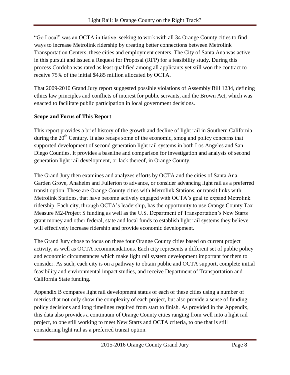"Go Local" was an OCTA initiative seeking to work with all 34 Orange County cities to find ways to increase Metrolink ridership by creating better connections between Metrolink Transportation Centers, these cities and employment centers. The City of Santa Ana was active in this pursuit and issued a Request for Proposal (RFP) for a feasibility study. During this process Cordoba was rated as least qualified among all applicants yet still won the contract to receive 75% of the initial \$4.85 million allocated by OCTA.

That 2009-2010 Grand Jury report suggested possible violations of Assembly Bill 1234, defining ethics law principles and conflicts of interest for public servants, and the Brown Act, which was enacted to facilitate public participation in local government decisions.

### <span id="page-8-0"></span>**Scope and Focus of This Report**

This report provides a brief history of the growth and decline of light rail in Southern California during the  $20<sup>th</sup>$  Century. It also recaps some of the economic, smog and policy concerns that supported development of second generation light rail systems in both Los Angeles and San Diego Counties. It provides a baseline and comparison for investigation and analysis of second generation light rail development, or lack thereof, in Orange County.

The Grand Jury then examines and analyzes efforts by OCTA and the cities of Santa Ana, Garden Grove, Anaheim and Fullerton to advance, or consider advancing light rail as a preferred transit option. These are Orange County cities with Metrolink Stations, or transit links with Metrolink Stations, that have become actively engaged with OCTA's goal to expand Metrolink ridership. Each city, through OCTA's leadership, has the opportunity to use Orange County Tax Measure M2-Project S funding as well as the U.S. Department of Transportation's New Starts grant money and other federal, state and local funds to establish light rail systems they believe will effectively increase ridership and provide economic development.

The Grand Jury chose to focus on these four Orange County cities based on current project activity, as well as OCTA recommendations. Each city represents a different set of public policy and economic circumstances which make light rail system development important for them to consider. As such, each city is on a pathway to obtain public and OCTA support, complete initial feasibility and environmental impact studies, and receive Department of Transportation and California State funding.

Appendix B compares light rail development status of each of these cities using a number of metrics that not only show the complexity of each project, but also provide a sense of funding, policy decisions and long timelines required from start to finish. As provided in the Appendix, this data also provides a continuum of Orange County cities ranging from well into a light rail project, to one still working to meet New Starts and OCTA criteria, to one that is still considering light rail as a preferred transit option.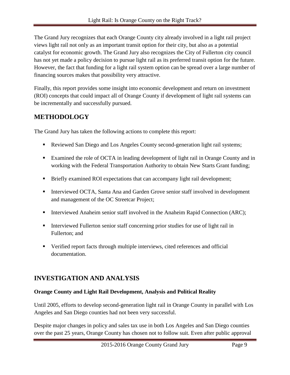The Grand Jury recognizes that each Orange County city already involved in a light rail project views light rail not only as an important transit option for their city, but also as a potential catalyst for economic growth. The Grand Jury also recognizes the City of Fullerton city council has not yet made a policy decision to pursue light rail as its preferred transit option for the future. However, the fact that funding for a light rail system option can be spread over a large number of financing sources makes that possibility very attractive.

Finally, this report provides some insight into economic development and return on investment (ROI) concepts that could impact all of Orange County if development of light rail systems can be incrementally and successfully pursued.

### <span id="page-9-0"></span>**METHODOLOGY**

The Grand Jury has taken the following actions to complete this report:

- **Reviewed San Diego and Los Angeles County second-generation light rail systems;**
- Examined the role of OCTA in leading development of light rail in Orange County and in working with the Federal Transportation Authority to obtain New Starts Grant funding;
- **Briefly examined ROI expectations that can accompany light rail development;**
- **Interviewed OCTA, Santa Ana and Garden Grove senior staff involved in development** and management of the OC Streetcar Project;
- Interviewed Anaheim senior staff involved in the Anaheim Rapid Connection (ARC);
- Interviewed Fullerton senior staff concerning prior studies for use of light rail in Fullerton; and
- Verified report facts through multiple interviews, cited references and official documentation.

### <span id="page-9-1"></span>**INVESTIGATION AND ANALYSIS**

### <span id="page-9-2"></span>**Orange County and Light Rail Development, Analysis and Political Reality**

Until 2005, efforts to develop second-generation light rail in Orange County in parallel with Los Angeles and San Diego counties had not been very successful.

Despite major changes in policy and sales tax use in both Los Angeles and San Diego counties over the past 25 years, Orange County has chosen not to follow suit. Even after public approval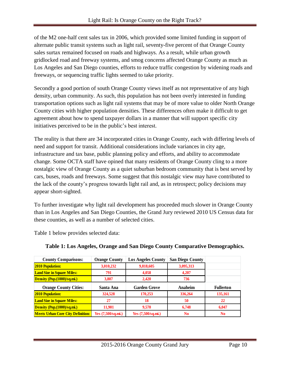of the M2 one-half cent sales tax in 2006, which provided some limited funding in support of alternate public transit systems such as light rail, seventy-five percent of that Orange County sales surtax remained focused on roads and highways. As a result, while urban growth gridlocked road and freeway systems, and smog concerns affected Orange County as much as Los Angeles and San Diego counties, efforts to reduce traffic congestion by widening roads and freeways, or sequencing traffic lights seemed to take priority.

Secondly a good portion of south Orange County views itself as not representative of any high density, urban community. As such, this population has not been overly interested in funding transportation options such as light rail systems that may be of more value to older North Orange County cities with higher population densities. These differences often make it difficult to get agreement about how to spend taxpayer dollars in a manner that will support specific city initiatives perceived to be in the public's best interest.

The reality is that there are 34 incorporated cities in Orange County, each with differing levels of need and support for transit. Additional considerations include variances in city age, infrastructure and tax base, public planning policy and efforts, and ability to accommodate change. Some OCTA staff have opined that many residents of Orange County cling to a more nostalgic view of Orange County as a quiet suburban bedroom community that is best served by cars, buses, roads and freeways. Some suggest that this nostalgic view may have contributed to the lack of the county's progress towards light rail and, as in retrospect; policy decisions may appear short-sighted.

To further investigate why light rail development has proceeded much slower in Orange County than in Los Angeles and San Diego Counties, the Grand Jury reviewed 2010 US Census data for these counties, as well as a number of selected cities.

Table 1 below provides selected data:

| <b>County Comparisons:</b>               | <b>Orange County</b> | <b>Los Angeles County</b>          | <b>San Diego County</b> |                  |
|------------------------------------------|----------------------|------------------------------------|-------------------------|------------------|
| <b>2010 Population:</b>                  | 3,010,232            | 9,818,605                          | 3,095,313               |                  |
| <b>Land Size in Square Miles:</b>        | 791                  | 4,058                              | 4.207                   |                  |
| Density (Pop.(1000)/sq.mi.)              | 3,807                | 2.420                              | 736                     |                  |
| <b>Orange County Cities:</b>             | Santa Ana            | <b>Garden Grove</b>                | Anaheim                 | <b>Fullerton</b> |
| <b>2010 Population:</b>                  | 324,528              | 170,253                            | 336,264                 | 135,161          |
| <b>Land Size in Square Miles:</b>        | 27                   | 18                                 | 50                      | 22               |
| Density (Pop. (1000)/sq.mi.)             | 11,901               | 9.570                              | 6.748                   | 6,047            |
| <b>Meets Urban Core City Definition:</b> | Yes (7,500/sq.mi.)   | Yes $(7,500/\text{sq}.\text{mi.})$ | N <sub>0</sub>          | N <sub>0</sub>   |

#### **Table 1: Los Angeles, Orange and San Diego County Comparative Demographics.**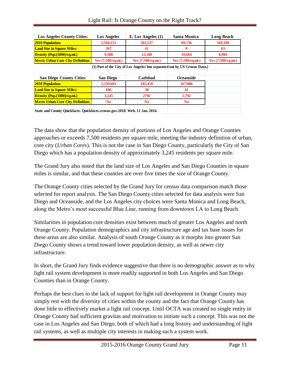| <b>Los Angeles County Cities:</b>        | <b>Los Angeles</b>          | E. Los Angeles $(1)$                                                      | <b>Santa Monica</b> | <b>Long Beach</b>           |
|------------------------------------------|-----------------------------|---------------------------------------------------------------------------|---------------------|-----------------------------|
| <b>2010 Population:</b>                  | 2,504,251                   | 501,237                                                                   | 89,736              | 569,100                     |
| <b>Land Size in Square Miles:</b>        | 267                         | 41                                                                        | 8                   | 63                          |
| Density (Pop. (1000)/sq.mi.)             | 9.388                       | 12,168                                                                    | 10.664              | 8,984                       |
| <b>Meets Urban Core City Definition:</b> | Yes $(7,500/\text{sg.mi.})$ | Yes $(7,500/\text{sg.mi.})$                                               | Yes (7,500/sq.mi.)  | Yes $(7,500/\text{sg.mi.})$ |
|                                          |                             | (1) Part of the City of Los Angeles but separated out by US Census Data.) |                     |                             |
|                                          |                             |                                                                           |                     |                             |
| <b>San Diego County Cities:</b>          | <b>San Diego</b>            | Carlsbad                                                                  | <b>Oceanside</b>    |                             |
| <b>2010 Population:</b>                  | 2,259,401                   | 105,459                                                                   | 167,086             |                             |
| <b>Land Size in Square Miles:</b>        | 696                         | 38                                                                        | 41                  |                             |
| Density (Pop. (1000)/sq.mi.)             | 3,245                       | 2792                                                                      | 2,792               |                             |
| <b>Meets Urban Core City Definition:</b> | N <sub>0</sub>              | N <sub>0</sub>                                                            | N <sub>0</sub>      |                             |
|                                          |                             | $\sim$ $\sim$ $\sim$ $\sim$ $\sim$ $\sim$<br>$\sim$ $\sim$ $\sim$         |                     |                             |

**State and County Quickfacts. Quickfacts.census.gov.2010. Web. 11 Jan. 2016.**

The data show that the population density of portions of Los Angeles and Orange Counties approaches or exceeds 7,500 residents per square mile, meeting the industry definition of urban, core city (*Urban Cores*). This is not the case in San Diego County, particularly the City of San Diego which has a population density of approximately 3,245 residents per square mile.

The Grand Jury also noted that the land size of Los Angeles and San Diego Counties in square miles is similar, and that these counties are over five times the size of Orange County.

The Orange County cities selected by the Grand Jury for census data comparison match those selected for report analysis. The San Diego County cities selected for data analysis were San Diego and Oceanside, and the Los Angeles city choices were Santa Monica and Long Beach, along the Metro's most successful Blue Line, running from downtown LA to Long Beach.

Similarities in population core densities exist between much of greater Los Angeles and north Orange County. Population demographics and city infrastructure age and tax base issues for these areas are also similar. Analysis of south Orange County as it morphs into greater San Diego County shows a trend toward lower population density, as well as newer city infrastructure.

In short, the Grand Jury finds evidence suggestive that there is no demographic answer as to why light rail system development is more readily supported in both Los Angeles and San Diego Counties than in Orange County.

Perhaps the best clues to the lack of support for light rail development in Orange County may simply rest with the diversity of cities within the county and the fact that Orange County has done little to effectively market a light rail concept. Until OCTA was created no single entity in Orange County had sufficient gravitas and motivation to initiate such a concept. This was not the case in Los Angeles and San Diego, both of which had a long history and understanding of light rail systems, as well as multiple city interests in making such a system work.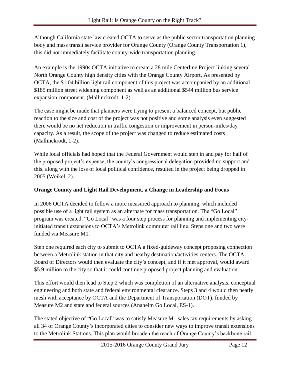Although California state law created OCTA to serve as the public sector transportation planning body and mass transit service provider for Orange County (Orange County Transportation 1), this did not immediately facilitate county-wide transportation planning.

An example is the 1990s OCTA initiative to create a 28 mile Centerline Project linking several North Orange County high density cities with the Orange County Airport. As presented by OCTA, the \$1.04 billion light rail component of this project was accompanied by an additional \$185 million street widening component as well as an additional \$544 million bus service expansion component. (Mallinckrodt, 1-2)

The case might be made that planners were trying to present a balanced concept, but public reaction to the size and cost of the project was not positive and some analysis even suggested there would be no net reduction in traffic congestion or improvement in person-miles/day capacity. As a result, the scope of the project was changed to reduce estimated costs (Mallinckrodt, 1-2).

While local officials had hoped that the Federal Government would step in and pay for half of the proposed project's expense, the county's congressional delegation provided no support and this, along with the loss of local political confidence, resulted in the project being dropped in 2005 (Weikel, 2).

### <span id="page-12-0"></span>**Orange County and Light Rail Development, a Change in Leadership and Focus**

In 2006 OCTA decided to follow a more measured approach to planning, which included possible use of a light rail system as an alternate for mass transportation. The "Go Local" program was created. "Go Local" was a four step process for planning and implementing cityinitiated transit extensions to OCTA's Metrolink commuter rail line. Steps one and two were funded via Measure M1.

Step one required each city to submit to OCTA a fixed-guideway concept proposing connection between a Metrolink station in that city and nearby destination/activities centers. The OCTA Board of Directors would then evaluate the city's concept, and if it met approval, would award \$5.9 million to the city so that it could continue proposed project planning and evaluation.

This effort would then lead to Step 2 which was completion of an alternative analysis, conceptual engineering and both state and federal environmental clearance. Steps 3 and 4 would then neatly mesh with acceptance by OCTA and the Department of Transportation (DOT), funded by Measure M2 and state and federal sources (Anaheim Go Local, ES-1).

The stated objective of "Go Local" was to satisfy Measure M1 sales tax requirements by asking all 34 of Orange County's incorporated cities to consider new ways to improve transit extensions to the Metrolink Stations. This plan would broaden the reach of Orange County's backbone rail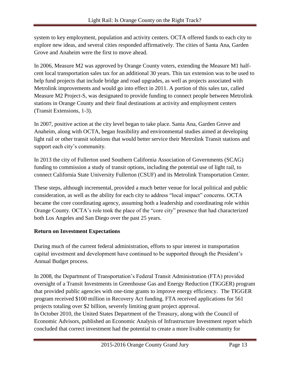system to key employment, population and activity centers. OCTA offered funds to each city to explore new ideas, and several cities responded affirmatively. The cities of Santa Ana, Garden Grove and Anaheim were the first to move ahead.

In 2006, Measure M2 was approved by Orange County voters, extending the Measure M1 halfcent local transportation sales tax for an additional 30 years. This tax extension was to be used to help fund projects that include bridge and road upgrades, as well as projects associated with Metrolink improvements and would go into effect in 2011. A portion of this sales tax, called Measure M2 Project-S, was designated to provide funding to connect people between Metrolink stations in Orange County and their final destinations at activity and employment centers (Transit Extensions, 1-3).

In 2007, positive action at the city level began to take place. Santa Ana, Garden Grove and Anaheim, along with OCTA, began feasibility and environmental studies aimed at developing light rail or other transit solutions that would better service their Metrolink Transit stations and support each city's community.

In 2013 the city of Fullerton used Southern California Association of Governments (SCAG) funding to commission a study of transit options, including the potential use of light rail, to connect California State University Fullerton (CSUF) and its Metrolink Transportation Center.

These steps, although incremental, provided a much better venue for local political and public consideration, as well as the ability for each city to address "local impact" concerns. OCTA became the core coordinating agency, assuming both a leadership and coordinating role within Orange County. OCTA's role took the place of the "core city" presence that had characterized both Los Angeles and San Diego over the past 25 years.

### <span id="page-13-0"></span>**Return on Investment Expectations**

During much of the current federal administration, efforts to spur interest in transportation capital investment and development have continued to be supported through the President's Annual Budget process.

In 2008, the Department of Transportation's Federal Transit Administration (FTA) provided oversight of a Transit Investments in Greenhouse Gas and Energy Reduction (TIGGER) program that provided public agencies with one-time grants to improve energy efficiency. The TIGGER program received \$100 million in Recovery Act funding. FTA received applications for 561 projects totaling over \$2 billion, severely limiting grant project approval. In October 2010, the United States Department of the Treasury, along with the Council of Economic Advisors, published an Economic Analysis of Infrastructure Investment report which concluded that correct investment had the potential to create a more livable community for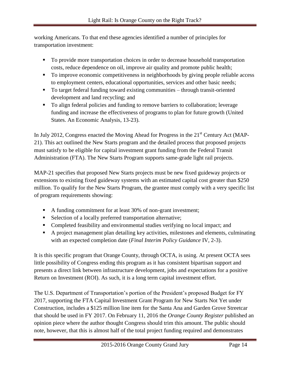working Americans. To that end these agencies identified a number of principles for transportation investment:

- To provide more transportation choices in order to decrease household transportation costs, reduce dependence on oil, improve air quality and promote public health;
- To improve economic competitiveness in neighborhoods by giving people reliable access to employment centers, educational opportunities, services and other basic needs;
- To target federal funding toward existing communities through transit-oriented development and land recycling; and
- To align federal policies and funding to remove barriers to collaboration; leverage funding and increase the effectiveness of programs to plan for future growth (United States. An Economic Analysis, 13-23).

In July 2012, Congress enacted the Moving Ahead for Progress in the 21<sup>st</sup> Century Act (MAP-21). This act outlined the New Starts program and the detailed process that proposed projects must satisfy to be eligible for capital investment grant funding from the Federal Transit Administration (FTA). The New Starts Program supports same-grade light rail projects.

MAP-21 specifies that proposed New Starts projects must be new fixed guideway projects or extensions to existing fixed guideway systems with an estimated capital cost greater than \$250 million. To qualify for the New Starts Program, the grantee must comply with a very specific list of program requirements showing:

- A funding commitment for at least 30% of non-grant investment;
- Selection of a locally preferred transportation alternative;
- Completed feasibility and environmental studies verifying no local impact; and
- A project management plan detailing key activities, milestones and elements, culminating with an expected completion date (*Final Interim Policy Guidance* IV, 2-3).

It is this specific program that Orange County, through OCTA, is using. At present OCTA sees little possibility of Congress ending this program as it has consistent bipartisan support and presents a direct link between infrastructure development, jobs and expectations for a positive Return on Investment (ROI). As such, it is a long term capital investment effort.

The U.S. Department of Transportation's portion of the President's proposed Budget for FY 2017, supporting the FTA Capital Investment Grant Program for New Starts Not Yet under Construction, includes a \$125 million line item for the Santa Ana and Garden Grove Streetcar that should be used in FY 2017. On February 11, 2016 the *Orange County Register* published an opinion piece where the author thought Congress should trim this amount. The public should note, however, that this is almost half of the total project funding required and demonstrates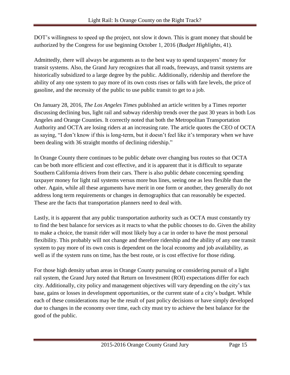DOT's willingness to speed up the project, not slow it down. This is grant money that should be authorized by the Congress for use beginning October 1, 2016 (*Budget Highlights,* 41).

Admittedly, there will always be arguments as to the best way to spend taxpayers' money for transit systems. Also, the Grand Jury recognizes that all roads, freeways, and transit systems are historically subsidized to a large degree by the public. Additionally, ridership and therefore the ability of any one system to pay more of its own costs rises or falls with fare levels, the price of gasoline, and the necessity of the public to use public transit to get to a job.

On January 28, 2016, *The Los Angeles Times* published an article written by a Times reporter discussing declining bus, light rail and subway ridership trends over the past 30 years in both Los Angeles and Orange Counties. It correctly noted that both the Metropolitan Transportation Authority and OCTA are losing riders at an increasing rate. The article quotes the CEO of OCTA as saying, "I don't know if this is long-term, but it doesn't feel like it's temporary when we have been dealing with 36 straight months of declining ridership."

In Orange County there continues to be public debate over changing bus routes so that OCTA can be both more efficient and cost effective, and it is apparent that it is difficult to separate Southern California drivers from their cars. There is also public debate concerning spending taxpayer money for light rail systems versus more bus lines, seeing one as less flexible than the other. Again, while all these arguments have merit in one form or another, they generally do not address long term requirements or changes in demographics that can reasonably be expected. These are the facts that transportation planners need to deal with.

Lastly, it is apparent that any public transportation authority such as OCTA must constantly try to find the best balance for services as it reacts to what the public chooses to do. Given the ability to make a choice, the transit rider will most likely buy a car in order to have the most personal flexibility. This probably will not change and therefore ridership and the ability of any one transit system to pay more of its own costs is dependent on the local economy and job availability, as well as if the system runs on time, has the best route, or is cost effective for those riding.

For those high density urban areas in Orange County pursuing or considering pursuit of a light rail system, the Grand Jury noted that Return on Investment (ROI) expectations differ for each city. Additionally, city policy and management objectives will vary depending on the city's tax base, gains or losses in development opportunities, or the current state of a city's budget. While each of these considerations may be the result of past policy decisions or have simply developed due to changes in the economy over time, each city must try to achieve the best balance for the good of the public.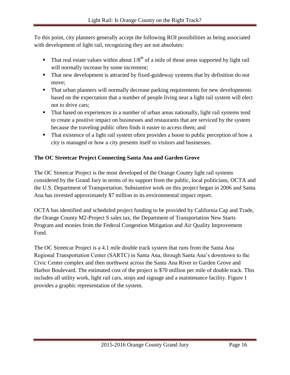To this point, city planners generally accept the following ROI possibilities as being associated with development of light rail, recognizing they are not absolutes:

- That real estate values within about  $1/8^{th}$  of a mile of those areas supported by light rail will normally increase by some increment;
- That new development is attracted by fixed-guideway systems that by definition do not move;
- That urban planners will normally decrease parking requirements for new developments based on the expectation that a number of people living near a light rail system will elect not to drive cars;
- That based on experiences in a number of urban areas nationally, light rail systems tend to create a positive impact on businesses and restaurants that are serviced by the system because the traveling public often finds it easier to access them; and
- That existence of a light rail system often provides a boost to public perception of how a city is managed or how a city presents itself to visitors and businesses.

### <span id="page-16-0"></span>**The OC Streetcar Project Connecting Santa Ana and Garden Grove**

The OC Streetcar Project is the most developed of the Orange County light rail systems considered by the Grand Jury in terms of its support from the public, local politicians, OCTA and the U.S. Department of Transportation. Substantive work on this project began in 2006 and Santa Ana has invested approximately \$7 million in its environmental impact report.

OCTA has identified and scheduled project funding to be provided by California Cap and Trade, the Orange County M2-Project S sales tax, the Department of Transportation New Starts Program and monies from the Federal Congestion Mitigation and Air Quality Improvement Fund.

The OC Streetcar Project is a 4.1 mile double track system that runs from the Santa Ana Regional Transportation Center (SARTC) in Santa Ana, through Santa Ana's downtown to the Civic Center complex and then northwest across the Santa Ana River to Garden Grove and Harbor Boulevard. The estimated cost of the project is \$70 million per mile of double track. This includes all utility work, light rail cars, stops and signage and a maintenance facility. Figure 1 provides a graphic representation of the system.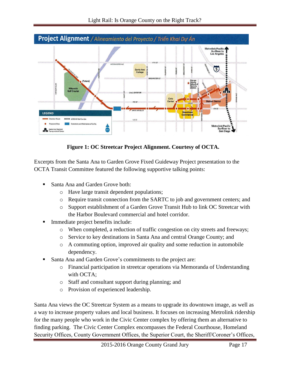

**Figure 1: OC Streetcar Project Alignment. Courtesy of OCTA.**

Excerpts from the Santa Ana to Garden Grove Fixed Guideway Project presentation to the OCTA Transit Committee featured the following supportive talking points:

- Santa Ana and Garden Grove both:
	- o Have large transit dependent populations;
	- o Require transit connection from the SARTC to job and government centers; and
	- o Support establishment of a Garden Grove Transit Hub to link OC Streetcar with the Harbor Boulevard commercial and hotel corridor.
- Immediate project benefits include:
	- o When completed, a reduction of traffic congestion on city streets and freeways;
	- o Service to key destinations in Santa Ana and central Orange County; and
	- o A commuting option, improved air quality and some reduction in automobile dependency.
- Santa Ana and Garden Grove's commitments to the project are:
	- o Financial participation in streetcar operations via Memoranda of Understanding with OCTA;
	- o Staff and consultant support during planning; and
	- o Provision of experienced leadership.

Santa Ana views the OC Streetcar System as a means to upgrade its downtown image, as well as a way to increase property values and local business. It focuses on increasing Metrolink ridership for the many people who work in the Civic Center complex by offering them an alternative to finding parking. The Civic Center Complex encompasses the Federal Courthouse, Homeland Security Offices, County Government Offices, the Superior Court, the Sheriff/Coroner's Offices,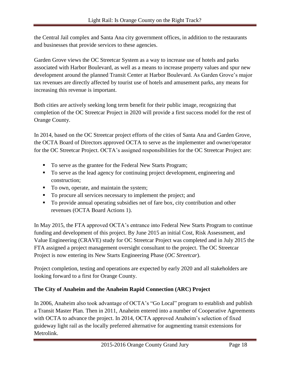the Central Jail complex and Santa Ana city government offices, in addition to the restaurants and businesses that provide services to these agencies.

Garden Grove views the OC Streetcar System as a way to increase use of hotels and parks associated with Harbor Boulevard, as well as a means to increase property values and spur new development around the planned Transit Center at Harbor Boulevard. As Garden Grove's major tax revenues are directly affected by tourist use of hotels and amusement parks, any means for increasing this revenue is important.

Both cities are actively seeking long term benefit for their public image, recognizing that completion of the OC Streetcar Project in 2020 will provide a first success model for the rest of Orange County.

In 2014, based on the OC Streetcar project efforts of the cities of Santa Ana and Garden Grove, the OCTA Board of Directors approved OCTA to serve as the implementer and owner/operator for the OC Streetcar Project. OCTA's assigned responsibilities for the OC Streetcar Project are:

- To serve as the grantee for the Federal New Starts Program;
- To serve as the lead agency for continuing project development, engineering and construction;
- To own, operate, and maintain the system;
- To procure all services necessary to implement the project; and
- To provide annual operating subsidies net of fare box, city contribution and other revenues (OCTA Board Actions 1).

In May 2015, the FTA approved OCTA's entrance into Federal New Starts Program to continue funding and development of this project. By June 2015 an initial Cost, Risk Assessment, and Value Engineering (CRAVE) study for OC Streetcar Project was completed and in July 2015 the FTA assigned a project management oversight consultant to the project. The OC Streetcar Project is now entering its New Starts Engineering Phase (*OC Streetcar*).

Project completion, testing and operations are expected by early 2020 and all stakeholders are looking forward to a first for Orange County.

### <span id="page-18-0"></span>**The City of Anaheim and the Anaheim Rapid Connection (ARC) Project**

In 2006, Anaheim also took advantage of OCTA's "Go Local" program to establish and publish a Transit Master Plan. Then in 2011, Anaheim entered into a number of Cooperative Agreements with OCTA to advance the project. In 2014, OCTA approved Anaheim's selection of fixed guideway light rail as the locally preferred alternative for augmenting transit extensions for Metrolink.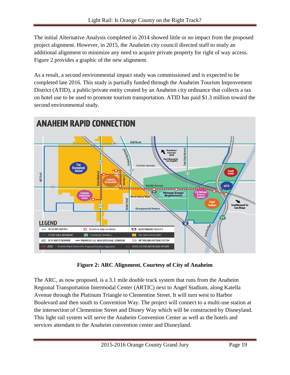The initial Alternative Analysis completed in 2014 showed little or no impact from the proposed project alignment. However, in 2015, the Anaheim city council directed staff to study an additional alignment to minimize any need to acquire private property for right of way access. Figure 2 provides a graphic of the new alignment.

As a result, a second environmental impact study was commissioned and is expected to be completed late 2016. This study is partially funded through the Anaheim Tourism Improvement District (ATID), a public/private entity created by an Anaheim city ordinance that collects a tax on hotel use to be used to promote tourism transportation. ATID has paid \$1.3 million toward the second environmental study.



**Figure 2: ARC Alignment. Courtesy of City of Anaheim**

The ARC, as now proposed, is a 3.1 mile double track system that runs from the Anaheim Regional Transportation Intermodal Center (ARTIC) next to Angel Stadium, along Katella Avenue through the Platinum Triangle to Clementine Street. It will turn west to Harbor Boulevard and then south to Convention Way. The project will connect to a multi-use station at the intersection of Clementine Street and Disney Way which will be constructed by Disneyland. This light rail system will serve the Anaheim Convention Center as well as the hotels and services attendant to the Anaheim convention center and Disneyland.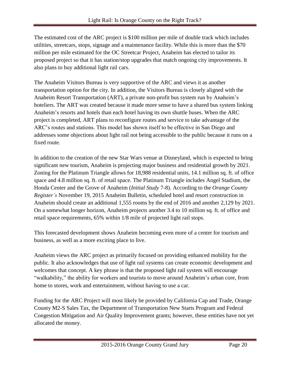The estimated cost of the ARC project is \$100 million per mile of double track which includes utilities, streetcars, stops, signage and a maintenance facility. While this is more than the \$70 million per mile estimated for the OC Streetcar Project, Anaheim has elected to tailor its proposed project so that it has station/stop upgrades that match ongoing city improvements. It also plans to buy additional light rail cars.

The Anaheim Visitors Bureau is very supportive of the ARC and views it as another transportation option for the city. In addition, the Visitors Bureau is closely aligned with the Anaheim Resort Transportation (ART), a private non-profit bus system run by Anaheim's hoteliers. The ART was created because it made more sense to have a shared bus system linking Anaheim's resorts and hotels than each hotel having its own shuttle buses. When the ARC project is completed, ART plans to reconfigure routes and service to take advantage of the ARC's routes and stations. This model has shown itself to be effective in San Diego and addresses some objections about light rail not being accessible to the public because it runs on a fixed route.

In addition to the creation of the new Star Wars venue at Disneyland, which is expected to bring significant new tourism, Anaheim is projecting major business and residential growth by 2021. Zoning for the Platinum Triangle allows for 18,988 residential units, 14.1 million sq. ft. of office space and 4.8 million sq. ft. of retail space. The Platinum Triangle includes Angel Stadium, the Honda Center and the Grove of Anaheim (*Initial Study* 7-8). According to the *Orange County Register's* November 19, 2015 Anaheim Bulletin, scheduled hotel and resort construction in Anaheim should create an additional 1,555 rooms by the end of 2016 and another 2,129 by 2021. On a somewhat longer horizon, Anaheim projects another 3.4 to 10 million sq. ft. of office and retail space requirements, 65% within 1/8 mile of projected light rail stops.

This forecasted development shows Anaheim becoming even more of a center for tourism and business, as well as a more exciting place to live.

Anaheim views the ARC project as primarily focused on providing enhanced mobility for the public. It also acknowledges that use of light rail systems can create economic development and welcomes that concept. A key phrase is that the proposed light rail system will encourage "walkability," the ability for workers and tourists to move around Anaheim's urban core, from home to stores, work and entertainment, without having to use a car.

Funding for the ARC Project will most likely be provided by California Cap and Trade, Orange County M2-S Sales Tax, the Department of Transportation New Starts Program and Federal Congestion Mitigation and Air Quality Improvement grants; however, these entities have not yet allocated the money.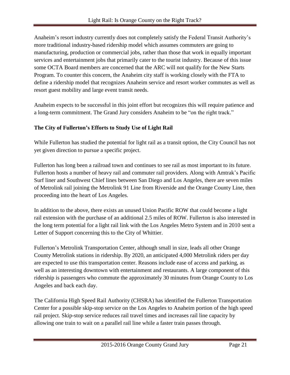Anaheim's resort industry currently does not completely satisfy the Federal Transit Authority's more traditional industry-based ridership model which assumes commuters are going to manufacturing, production or commercial jobs, rather than those that work in equally important services and entertainment jobs that primarily cater to the tourist industry. Because of this issue some OCTA Board members are concerned that the ARC will not qualify for the New Starts Program. To counter this concern, the Anaheim city staff is working closely with the FTA to define a ridership model that recognizes Anaheim service and resort worker commutes as well as resort guest mobility and large event transit needs.

Anaheim expects to be successful in this joint effort but recognizes this will require patience and a long-term commitment. The Grand Jury considers Anaheim to be "on the right track."

### <span id="page-21-0"></span>**The City of Fullerton's Efforts to Study Use of Light Rail**

While Fullerton has studied the potential for light rail as a transit option, the City Council has not yet given direction to pursue a specific project.

Fullerton has long been a railroad town and continues to see rail as most important to its future. Fullerton hosts a number of heavy rail and commuter rail providers. Along with Amtrak's Pacific Surf liner and Southwest Chief lines between San Diego and Los Angeles, there are seven miles of Metrolink rail joining the Metrolink 91 Line from Riverside and the Orange County Line, then proceeding into the heart of Los Angeles.

In addition to the above, there exists an unused Union Pacific ROW that could become a light rail extension with the purchase of an additional 2.5 miles of ROW. Fullerton is also interested in the long term potential for a light rail link with the Los Angeles Metro System and in 2010 sent a Letter of Support concerning this to the City of Whittier.

Fullerton's Metrolink Transportation Center, although small in size, leads all other Orange County Metrolink stations in ridership. By 2020, an anticipated 4,000 Metrolink riders per day are expected to use this transportation center. Reasons include ease of access and parking, as well as an interesting downtown with entertainment and restaurants. A large component of this ridership is passengers who commute the approximately 30 minutes from Orange County to Los Angeles and back each day.

The California High Speed Rail Authority (CHSRA) has identified the Fullerton Transportation Center for a possible skip-stop service on the Los Angeles to Anaheim portion of the high speed rail project. Skip-stop service reduces rail travel times and increases rail line capacity by allowing one train to wait on a parallel rail line while a faster train passes through.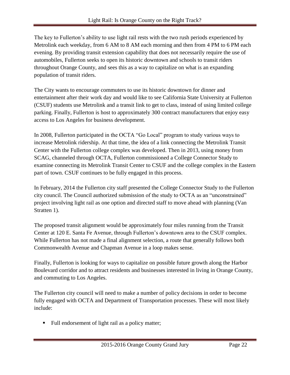The key to Fullerton's ability to use light rail rests with the two rush periods experienced by Metrolink each weekday, from 6 AM to 8 AM each morning and then from 4 PM to 6 PM each evening. By providing transit extension capability that does not necessarily require the use of automobiles, Fullerton seeks to open its historic downtown and schools to transit riders throughout Orange County, and sees this as a way to capitalize on what is an expanding population of transit riders.

The City wants to encourage commuters to use its historic downtown for dinner and entertainment after their work day and would like to see California State University at Fullerton (CSUF) students use Metrolink and a transit link to get to class, instead of using limited college parking. Finally, Fullerton is host to approximately 300 contract manufacturers that enjoy easy access to Los Angeles for business development.

In 2008, Fullerton participated in the OCTA "Go Local" program to study various ways to increase Metrolink ridership. At that time, the idea of a link connecting the Metrolink Transit Center with the Fullerton college complex was developed. Then in 2013, using money from SCAG, channeled through OCTA, Fullerton commissioned a College Connector Study to examine connecting its Metrolink Transit Center to CSUF and the college complex in the Eastern part of town. CSUF continues to be fully engaged in this process.

In February, 2014 the Fullerton city staff presented the College Connector Study to the Fullerton city council. The Council authorized submission of the study to OCTA as an "unconstrained" project involving light rail as one option and directed staff to move ahead with planning (Van Stratten 1).

The proposed transit alignment would be approximately four miles running from the Transit Center at 120 E. Santa Fe Avenue, through Fullerton's downtown area to the CSUF complex. While Fullerton has not made a final alignment selection, a route that generally follows both Commonwealth Avenue and Chapman Avenue in a loop makes sense.

Finally, Fullerton is looking for ways to capitalize on possible future growth along the Harbor Boulevard corridor and to attract residents and businesses interested in living in Orange County, and commuting to Los Angeles.

The Fullerton city council will need to make a number of policy decisions in order to become fully engaged with OCTA and Department of Transportation processes. These will most likely include:

Full endorsement of light rail as a policy matter;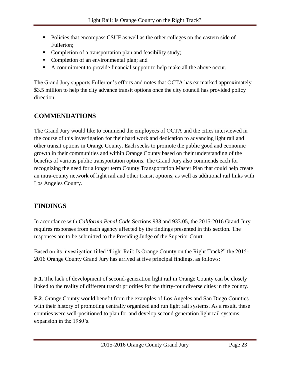- Policies that encompass CSUF as well as the other colleges on the eastern side of Fullerton;
- Completion of a transportation plan and feasibility study;
- Completion of an environmental plan; and
- A commitment to provide financial support to help make all the above occur.

The Grand Jury supports Fullerton's efforts and notes that OCTA has earmarked approximately \$3.5 million to help the city advance transit options once the city council has provided policy direction.

### <span id="page-23-0"></span>**COMMENDATIONS**

The Grand Jury would like to commend the employees of OCTA and the cities interviewed in the course of this investigation for their hard work and dedication to advancing light rail and other transit options in Orange County. Each seeks to promote the public good and economic growth in their communities and within Orange County based on their understanding of the benefits of various public transportation options. The Grand Jury also commends each for recognizing the need for a longer term County Transportation Master Plan that could help create an intra-county network of light rail and other transit options, as well as additional rail links with Los Angeles County.

### <span id="page-23-1"></span>**FINDINGS**

In accordance with *California Penal Code* Sections 933 and 933.05, the 2015-2016 Grand Jury requires responses from each agency affected by the findings presented in this section. The responses are to be submitted to the Presiding Judge of the Superior Court.

Based on its investigation titled "Light Rail: Is Orange County on the Right Track?" the 2015- 2016 Orange County Grand Jury has arrived at five principal findings, as follows:

**F.1.** The lack of development of second-generation light rail in Orange County can be closely linked to the reality of different transit priorities for the thirty-four diverse cities in the county.

**F.2**. Orange County would benefit from the examples of Los Angeles and San Diego Counties with their history of promoting centrally organized and run light rail systems. As a result, these counties were well-positioned to plan for and develop second generation light rail systems expansion in the 1980's.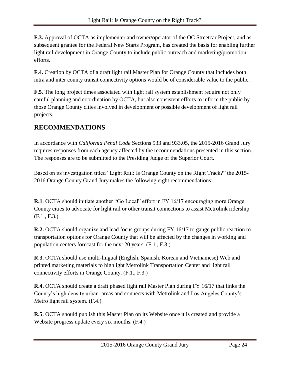**F.3.** Approval of OCTA as implementer and owner/operator of the OC Streetcar Project, and as subsequent grantee for the Federal New Starts Program, has created the basis for enabling further light rail development in Orange County to include public outreach and marketing/promotion efforts.

**F.4.** Creation by OCTA of a draft light rail Master Plan for Orange County that includes both intra and inter county transit connectivity options would be of considerable value to the public.

**F.5.** The long project times associated with light rail system establishment require not only careful planning and coordination by OCTA, but also consistent efforts to inform the public by those Orange County cities involved in development or possible development of light rail projects.

### <span id="page-24-0"></span>**RECOMMENDATIONS**

In accordance with *California Penal Code* Sections 933 and 933.05, the 2015-2016 Grand Jury requires responses from each agency affected by the recommendations presented in this section. The responses are to be submitted to the Presiding Judge of the Superior Court.

Based on its investigation titled "Light Rail: Is Orange County on the Right Track?" the 2015- 2016 Orange County Grand Jury makes the following eight recommendations:

**R.1**. OCTA should initiate another "Go Local" effort in FY 16/17 encouraging more Orange County cities to advocate for light rail or other transit connections to assist Metrolink ridership. (F.1., F.3.)

**R.2.** OCTA should organize and lead focus groups during FY 16/17 to gauge public reaction to transportation options for Orange County that will be affected by the changes in working and population centers forecast for the next 20 years. (F.1., F.3.)

**R.3.** OCTA should use multi-lingual (English, Spanish, Korean and Vietnamese) Web and printed marketing materials to highlight Metrolink Transportation Center and light rail connectivity efforts in Orange County. (F.1., F.3.)

**R.4.** OCTA should create a draft phased light rail Master Plan during FY 16/17 that links the County's high density urban areas and connects with Metrolink and Los Angeles County's Metro light rail system. (F.4.)

**R.5**. OCTA should publish this Master Plan on its Website once it is created and provide a Website progress update every six months. (F.4.)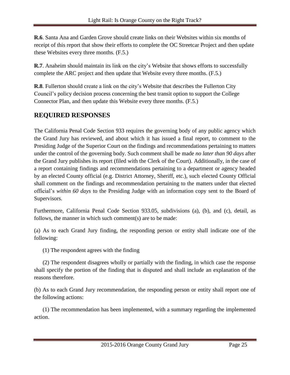**R.6**. Santa Ana and Garden Grove should create links on their Websites within six months of receipt of this report that show their efforts to complete the OC Streetcar Project and then update these Websites every three months. (F.5.)

**R.7**. Anaheim should maintain its link on the city's Website that shows efforts to successfully complete the ARC project and then update that Website every three months. (F.5.)

**R.8**. Fullerton should create a link on the city's Website that describes the Fullerton City Council's policy decision process concerning the best transit option to support the College Connector Plan, and then update this Website every three months. (F.5.)

### <span id="page-25-0"></span>**REQUIRED RESPONSES**

The California Penal Code Section 933 requires the governing body of any public agency which the Grand Jury has reviewed, and about which it has issued a final report, to comment to the Presiding Judge of the Superior Court on the findings and recommendations pertaining to matters under the control of the governing body. Such comment shall be made *no later than 90 days* after the Grand Jury publishes its report (filed with the Clerk of the Court). Additionally, in the case of a report containing findings and recommendations pertaining to a department or agency headed by an elected County official (e.g. District Attorney, Sheriff, etc.), such elected County Official shall comment on the findings and recommendation pertaining to the matters under that elected official's *within 60 days* to the Presiding Judge with an information copy sent to the Board of Supervisors.

Furthermore, California Penal Code Section 933.05, subdivisions (a), (b), and (c), detail, as follows, the manner in which such comment(s) are to be made:

(a) As to each Grand Jury finding, the responding person or entity shall indicate one of the following:

(1) The respondent agrees with the finding

 (2) The respondent disagrees wholly or partially with the finding, in which case the response shall specify the portion of the finding that is disputed and shall include an explanation of the reasons therefore.

(b) As to each Grand Jury recommendation, the responding person or entity shall report one of the following actions:

 (1) The recommendation has been implemented, with a summary regarding the implemented action.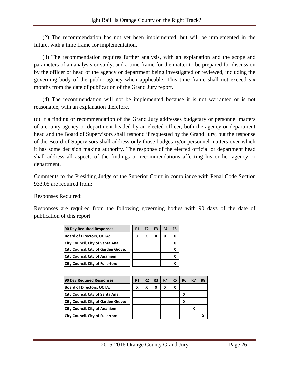(2) The recommendation has not yet been implemented, but will be implemented in the future, with a time frame for implementation.

 (3) The recommendation requires further analysis, with an explanation and the scope and parameters of an analysis or study, and a time frame for the matter to be prepared for discussion by the officer or head of the agency or department being investigated or reviewed, including the governing body of the public agency when applicable. This time frame shall not exceed six months from the date of publication of the Grand Jury report.

 (4) The recommendation will not be implemented because it is not warranted or is not reasonable, with an explanation therefore.

(c) If a finding or recommendation of the Grand Jury addresses budgetary or personnel matters of a county agency or department headed by an elected officer, both the agency or department head and the Board of Supervisors shall respond if requested by the Grand Jury, but the response of the Board of Supervisors shall address only those budgetary/or personnel matters over which it has some decision making authority. The response of the elected official or department head shall address all aspects of the findings or recommendations affecting his or her agency or department.

Comments to the Presiding Judge of the Superior Court in compliance with Penal Code Section 933.05 are required from:

Responses Required:

Responses are required from the following governing bodies with 90 days of the date of publication of this report:

| 90 Day Required Responses:                 | F1 | F <sub>2</sub> | F <sub>3</sub> | F4 | F5 |
|--------------------------------------------|----|----------------|----------------|----|----|
| <b>Board of Directors, OCTA:</b>           | x  | x              | x              | x  |    |
| <b>City Council, City of Santa Ana:</b>    |    |                |                |    |    |
| <b>City Council, City of Garden Grove:</b> |    |                |                |    |    |
| <b>City Council, City of Anahiem:</b>      |    |                |                |    |    |
| City Council, City of Fullerton:           |    |                |                |    |    |

| 90 Day Required Responses:                 | R1 | R2 | R <sub>3</sub> | <b>R4</b> | <b>R5</b> | R <sub>6</sub> | R7 | R <sub>8</sub> |
|--------------------------------------------|----|----|----------------|-----------|-----------|----------------|----|----------------|
| <b>Board of Directors, OCTA:</b>           | x  |    | x              | x         | χ         |                |    |                |
| City Council, City of Santa Ana:           |    |    |                |           |           | χ              |    |                |
| <b>City Council, City of Garden Grove:</b> |    |    |                |           |           | x              |    |                |
| <b>City Council, City of Anahiem:</b>      |    |    |                |           |           |                | X  |                |
| <b>City Council, City of Fullerton:</b>    |    |    |                |           |           |                |    |                |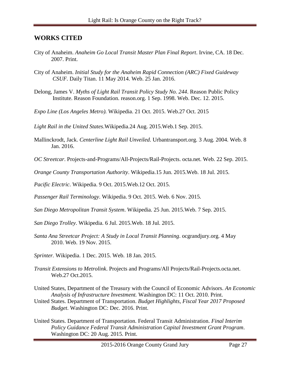### <span id="page-27-0"></span>**WORKS CITED**

- City of Anaheim. *Anaheim Go Local Transit Master Plan Final Report*. Irvine, CA. 18 Dec. 2007. Print.
- City of Anaheim. *Initial Study for the Anaheim Rapid Connection (ARC) Fixed Guideway CSUF.* Daily Titan. 11 May 2014. Web. 25 Jan. 2016.
- Delong, James V. *Myths of Light Rail Transit Policy Study No. 244*. Reason Public Policy Institute. Reason Foundation. reason.org. 1 Sep. 1998. Web. Dec. 12. 2015.
- *Expo Line (Los Angeles Metro).* Wikipedia. 21 Oct. 2015. Web.27 Oct. 2015

*Light Rail in the United States*.Wikipedia.24 Aug. 2015.Web.1 Sep. 2015.

- Mallinckrodt, Jack. *Centerline Light Rail Unveiled*. Urbantransport.org. 3 Aug. 2004. Web. 8 Jan. 2016.
- *OC Streetcar*. Projects-and-Programs/All-Projects/Rail-Projects. octa.net. Web. 22 Sep. 2015.

*Orange County Transportation Authority*. Wikipedia.15 Jun. 2015.Web. 18 Jul. 2015.

*Pacific Electric*. Wikipedia. 9 Oct. 2015.Web.12 Oct. 2015.

*Passenger Rail Terminology*. Wikipedia. 9 Oct. 2015. Web. 6 Nov. 2015.

- *San Diego Metropolitan Transit System*. Wikipedia. 25 Jun. 2015.Web. 7 Sep. 2015.
- *San Diego Trolley*. Wikipedia. 6 Jul. 2015.Web. 18 Jul. 2015.
- *Santa Ana Streetcar Project: A Study in Local Transit Planning*. ocgrandjury.org. 4 May 2010. Web. 19 Nov. 2015.
- *Sprinter.* Wikipedia. 1 Dec. 2015. Web. 18 Jan. 2015.
- *Transit Extensions to Metrolink*. Projects and Programs/All Projects/Rail-Projects.octa.net. Web.27 Oct.2015.
- United States, Department of the Treasury with the Council of Economic Advisors. *An Economic Analysis of Infrastructure Investment.* Washington DC: 11 Oct. 2010. Print.
- United States. Department of Transportation. *Budget Highlights, Fiscal Year 2017 Proposed Budget*. Washington DC: Dec. 2016. Print.
- United States. Department of Transportation. Federal Transit Administration. *Final Interim Policy Guidance Federal Transit Administration Capital Investment Grant Program*. Washington DC: 20 Aug. 2015. Print.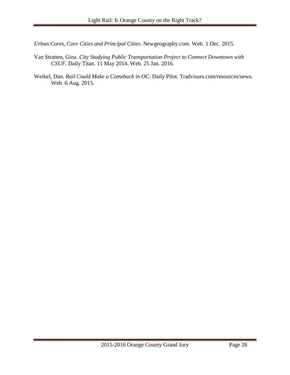*Urban Cores, Core Cities and Principal Cities*. Newgeography.com. Web. 1 Dec. 2015.

- Van Stratten, Gina. *City Studying Public Transportation Project to Connect Downtown with CSUF*. Daily Titan. 11 May 2014. Web. 25 Jan. 2016.
- Weikel, Dan. *Rail Could Make a Comeback in OC*. Daily Pilot. Tradvisors.com/resources/news. Web. 6 Aug. 2015.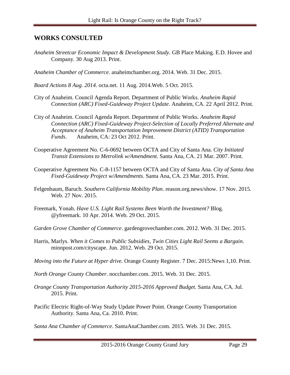### <span id="page-29-0"></span>**WORKS CONSULTED**

- *Anaheim Streetcar Economic Impact & Development Study.* GB Place Making. E.D. Hovee and Company. 30 Aug 2013. Print.
- *Anaheim Chamber of Commerce*. anaheimchamber.org. 2014. Web. 31 Dec. 2015.

*Board Actions 8 Aug. 2014*. octa.net. 11 Aug. 2014.Web. 5 Oct. 2015.

- City of Anaheim. Council Agenda Report. Department of Public Works. *Anaheim Rapid Connection (ARC) Fixed-Guideway Project Update*. Anaheim, CA. 22 April 2012. Print.
- City of Anaheim. Council Agenda Report. Department of Public Works. *Anaheim Rapid Connection (ARC) Fixed-Guideway Project-Selection of Locally Preferred Alternate and Acceptance of Anaheim Transportation Improvement District (ATID) Transportation Funds*. Anaheim, CA: 23 Oct 2012. Print.
- Cooperative Agreement No. C-6-0692 between OCTA and City of Santa Ana. *City Initiated Transit Extensions to Metrolink w/Amendment*. Santa Ana, CA. 21 Mar. 2007. Print.
- Cooperative Agreement No. C-8-1157 between OCTA and City of Santa Ana. *City of Santa Ana Fixed-Guideway Project w/Amendments*. Santa Ana, CA. 23 Mar. 2015. Print.
- Felgenbaum, Baruch. *Southern California Mobility Plan*. reason.org.news/show. 17 Nov. 2015. Web. 27 Nov. 2015.
- Freemark, Yonah. *Have U.S. Light Rail Systems Been Worth the Investment?* Blog. @yfreemark. 10 Apr. 2014. Web. 29 Oct. 2015.
- *Garden Grove Chamber of Commerce*. gardengrovechamber.com. 2012. Web. 31 Dec. 2015.
- Harris, Marlys. *When it Comes to Public Subsidies, Twin Cities Light Rail Seems a Bargain*. minnpost.com/cityscape. Jun. 2012. Web. 29 Oct. 2015.
- *Moving into the Future at Hyper drive.* Orange County Register. 7 Dec. 2015:News 1,10. Print.
- *North Orange County Chamber*. nocchamber.com. 2015. Web. 31 Dec. 2015.
- *Orange County Transportation Authority 2015-2016 Approved Budget.* Santa Ana, CA. Jul. 2015. Print.
- Pacific Electric Right-of-Way Study Update Power Point. Orange County Transportation Authority. Santa Ana, Ca. 2010. Print.

*Santa Ana Chamber of Commerce*. SantaAnaChamber.com. 2015. Web. 31 Dec. 2015.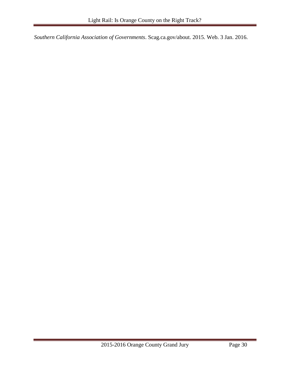*Southern California Association of Governments*. Scag.ca.gov/about. 2015. Web. 3 Jan. 2016.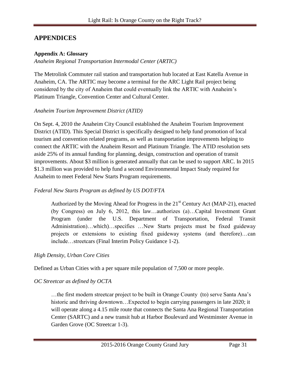### <span id="page-31-0"></span>**APPENDICES**

#### <span id="page-31-1"></span>**Appendix A: Glossary**

*Anaheim Regional Transportation Intermodal Center (ARTIC)*

The Metrolink Commuter rail station and transportation hub located at East Katella Avenue in Anaheim, CA. The ARTIC may become a terminal for the ARC Light Rail project being considered by the city of Anaheim that could eventually link the ARTIC with Anaheim's Platinum Triangle, Convention Center and Cultural Center.

#### *Anaheim Tourism Improvement District (ATID)*

On Sept. 4, 2010 the Anaheim City Council established the Anaheim Tourism Improvement District (ATID). This Special District is specifically designed to help fund promotion of local tourism and convention related programs, as well as transportation improvements helping to connect the ARTIC with the Anaheim Resort and Platinum Triangle. The ATID resolution sets aside 25% of its annual funding for planning, design, construction and operation of transit improvements. About \$3 million is generated annually that can be used to support ARC. In 2015 \$1.3 million was provided to help fund a second Environmental Impact Study required for Anaheim to meet Federal New Starts Program requirements.

### *Federal New Starts Program as defined by US DOT/FTA*

Authorized by the Moving Ahead for Progress in the  $21<sup>st</sup>$  Century Act (MAP-21), enacted (by Congress) on July 6, 2012, this law…authorizes (a)…Capital Investment Grant Program (under the U.S. Department of Transportation, Federal Transit Administration)…which)…specifies …New Starts projects must be fixed guideway projects or extensions to existing fixed guideway systems (and therefore)…can include…streetcars (Final Interim Policy Guidance 1-2).

### *High Density, Urban Core Cities*

Defined as Urban Cities with a per square mile population of 7,500 or more people.

### *OC Streetcar as defined by OCTA*

…the first modern streetcar project to be built in Orange County (to) serve Santa Ana's historic and thriving downtown...Expected to begin carrying passengers in late 2020; it will operate along a 4.15 mile route that connects the Santa Ana Regional Transportation Center (SARTC) and a new transit hub at Harbor Boulevard and Westminster Avenue in Garden Grove (OC Streetcar 1-3).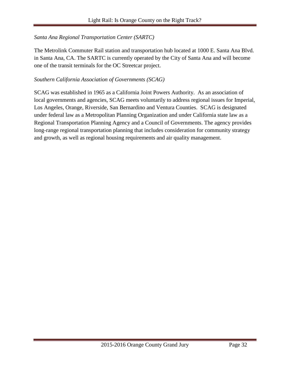#### *Santa Ana Regional Transportation Center (SARTC)*

The Metrolink Commuter Rail station and transportation hub located at 1000 E. Santa Ana Blvd. in Santa Ana, CA. The SARTC is currently operated by the City of Santa Ana and will become one of the transit terminals for the OC Streetcar project.

#### *Southern California Association of Governments (SCAG)*

SCAG was established in 1965 as a California Joint Powers Authority. As an association of local governments and agencies, SCAG meets voluntarily to address regional issues for Imperial, Los Angeles, Orange, Riverside, San Bernardino and Ventura Counties. SCAG is designated under federal law as a Metropolitan Planning Organization and under California state law as a Regional Transportation Planning Agency and a Council of Governments. The agency provides long-range regional transportation planning that includes consideration for community strategy and growth, as well as regional housing requirements and air quality management.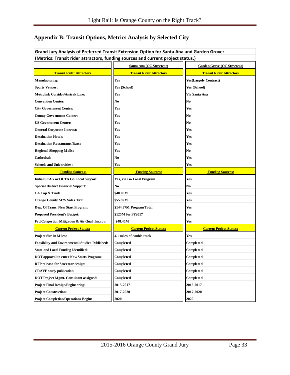### <span id="page-33-0"></span>**Appendix B: Transit Options, Metrics Analysis by Selected City**

| Grand Jury Analysis of Preferred Transit Extension Option for Santa Ana and Garden Grove: |                                 |                                    |
|-------------------------------------------------------------------------------------------|---------------------------------|------------------------------------|
| (Metrics: Transit rider attractors, funding sources and current project status.)          |                                 |                                    |
|                                                                                           | Santa Ana (OC Streetcar)        | <b>Garden Grove (OC Streetcar)</b> |
| <b>Transit Rider Attractors</b>                                                           | <b>Transit Rider Attractors</b> | <b>Transit Rider Attractors</b>    |
| <b>Manufacturing:</b>                                                                     | Yes                             | <b>Yes(Largely Contract)</b>       |
| <b>Sports Venues:</b>                                                                     | Yes (School)                    | Yes (School)                       |
| <b>Metrolink Corridor/Amtrak Line:</b>                                                    | Yes                             | Via Santa Ana                      |
| <b>Convention Center:</b>                                                                 | No                              | No                                 |
| <b>City Government Center:</b>                                                            | Yes                             | Yes                                |
| <b>County Government Center:</b>                                                          | Yes                             | No                                 |
| <b>US Government Center:</b>                                                              | Yes                             | No                                 |
| <b>General Corporate Interest:</b>                                                        | Yes                             | Yes                                |
| <b>Destination Hotels</b>                                                                 | Yes                             | Yes                                |
| <b>Destination Restaurants/Bars:</b>                                                      | Yes                             | Yes                                |
| <b>Regional Shopping Malls:</b>                                                           | Yes                             | No                                 |
| Cathedral:                                                                                | No                              | Yes                                |
| <b>Schools and Universities:</b>                                                          | Yes                             | Yes                                |
| <b>Funding Sources:</b>                                                                   | <b>Funding Sources:</b>         | <b>Funding Sources:</b>            |
| <b>Initial SCAG or OCTA Go Local Support:</b>                                             | Yes, via Go Local Program       | Yes                                |
| <b>Special District Financial Support:</b>                                                | No                              | No                                 |
| CA Cap & Trade:                                                                           | \$40.00M                        | Yes                                |
| <b>Orange County M2S Sales Tax:</b>                                                       | \$55.92M                        | Yes                                |
| Dep. Of Trans. New Start Program:                                                         | \$144.37M Program Total         | Yes                                |
| <b>Proposed President's Budget:</b>                                                       | \$125M for FY2017               | Yes                                |
| Fed.Congestion Mitigation & Air Qual. Improv:                                             | \$48.45M                        | Yes                                |
| <b>Current Project Status:</b>                                                            | <b>Current Project Status:</b>  | <b>Current Project Status:</b>     |
| <b>Project Size in Miles:</b>                                                             | 4.1 miles of double track       | Yes                                |
| <b>Feasibility and Environmental Studies Published:</b>                                   | Completed                       | Completed                          |
| <b>State and Local Funding Identified:</b>                                                | Completed                       | Completed                          |
| <b>DOT</b> approval to enter New Starts Program:                                          | Completed                       | Completed                          |
| <b>RFP release for Streetcar design:</b>                                                  | Completed                       | Completed                          |
| <b>CRAVE</b> study publication:                                                           | Completed                       | Completed                          |
| <b>DOT Project Mgmt. Consultant assigned:</b>                                             | Completed                       | Completed                          |
| <b>Project Final Design/Engineering:</b>                                                  | 2015-2017                       | 2015-2017                          |
| <b>Project Construction:</b>                                                              | 2017-2020                       | 2017-2020                          |
| <b>Project Completion/Operations Begin:</b>                                               | 2020                            | 2020                               |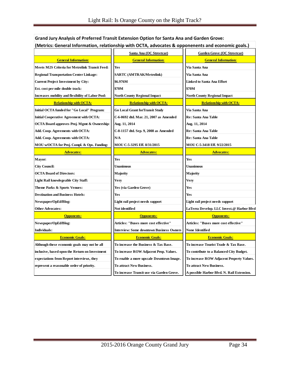| (ivietrics: General Information, relationship with OCTA, advocates & opponenents and economic goals.) |                                                 |                                           |
|-------------------------------------------------------------------------------------------------------|-------------------------------------------------|-------------------------------------------|
|                                                                                                       | Santa Ana (OC Streetcar)                        | <b>Garden Grove (OC Streetcar)</b>        |
| <b>General Information:</b>                                                                           | <b>General Information:</b>                     | <b>General Information:</b>               |
| Meets M2S Criteria for Metrolink Transit Feed:                                                        | Yes                                             | Via Santa Ana                             |
| <b>Regional Transportation Center Linkage:</b>                                                        | <b>SARTC (AMTRAK/Metrolink)</b>                 | Via Santa Ana                             |
| <b>Current Project Investment by City:</b>                                                            | \$6.976M                                        | <b>Linked to Santa Ana Effort</b>         |
| Est. cost per mile double track:                                                                      | \$70M                                           | \$70M                                     |
| <b>Increases mobility and flexibility of Labor Pool:</b>                                              | <b>North County Regional Impact</b>             | <b>North County Regional Impact</b>       |
| <b>Relationship with OCTA:</b>                                                                        | <b>Relationship with OCTA:</b>                  | <b>Relationship with OCTA:</b>            |
| Initial OCTA funded for "Go Local" Program:                                                           | <b>Go Local Grant for Transit Study</b>         | Via Santa Ana                             |
| <b>Initial Cooperative Agreement with OCTA:</b>                                                       | C-6-0692 dtd. Mar. 21, 2007 as Amended          | Re: Santa Ana Table                       |
| <b>OCTA Board approves Proj. Mgmt &amp; Ownership:</b>                                                | Aug. 11, 2014                                   | Aug. 11, 2014                             |
| Add. Coop. Agreements with OCTA:                                                                      | C-8-1157 dtd. Sep. 9, 2008 as Amended           | Re: Santa Ana Table                       |
| Add. Coop. Agreements with OCTA:                                                                      | N/A                                             | Re: Santa Ana Table                       |
| MOU w/OCTA for Proj. Compl. & Ops. Funding:                                                           | MOU C-5-3295 Eff. 8/31/2015                     | MOU C-5-3418 Eff. 9/22/2015               |
| <u> Advocates:</u>                                                                                    | <b>Advocates:</b>                               | <u> Advocates:</u>                        |
| Mayor:                                                                                                | Yes                                             | Yes                                       |
| <b>City Council:</b>                                                                                  | Unanimous                                       | Unanimous                                 |
| <b>OCTA Board of Directors:</b>                                                                       | Majority                                        | Majority                                  |
| <b>Light Rail knowlegeable City Staff:</b>                                                            | Very                                            | Very                                      |
| Theme Parks & Sports Venues:                                                                          | Yes (via Garden Grove)                          | Yes                                       |
| <b>Destination and Business Hotels:</b>                                                               | Yes                                             | Yes                                       |
| Newspaper/OpEd/Blog:                                                                                  | Light rail project needs support                | Light rail project needs support          |
| <b>Other Advocates:</b>                                                                               | Not identified                                  | LaTerra Develop. LLC Invest.@ Harbor Blvd |
| <b>Opponents:</b>                                                                                     | <b>Opponents:</b>                               | <b>Opponents:</b>                         |
| Newspaper/OpEd/Blog:                                                                                  | Articles: "Buses more cost effective"           | Articles: "Buses more cost effective"     |
| Individuals:                                                                                          | <b>Interview: Some downtown Business Owners</b> | None Identified                           |
| <b>Economic Goals:</b>                                                                                |                                                 | <b>Economic Goals:</b>                    |
|                                                                                                       | <b>Economic Goals:</b>                          |                                           |
| Although these economic goals may not be all                                                          | To increase the Business & Tax Base.            | To increase Tourist Trade & Tax Base.     |
| inclusive, based opon the Return on Investment                                                        | To increase ROW Adjacent Prop. Values.          | To contribute to a Balanced City Budget.  |
| expectations from Report interviews, they                                                             | To enable a more upscale Downtown Image.        | To increase ROW Adjacent Property Values. |
| represent a reasonable order of priority.                                                             | To attract New Business.                        | To attract New Business.                  |

#### **Grand Jury Analysis of Preferred Transit Extension Option for Santa Ana and Garden Grove: (Metrics: General Information, relationship with OCTA, advocates & opponenents and economic goals.)**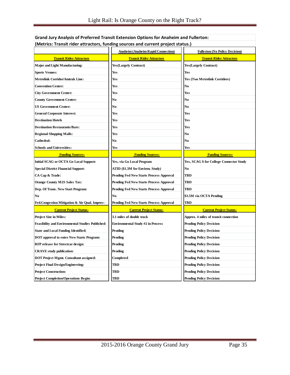| (Metrics: Transit rider attractors, funding sources and current project status.) |                                                |                                          |  |  |  |  |
|----------------------------------------------------------------------------------|------------------------------------------------|------------------------------------------|--|--|--|--|
|                                                                                  | <b>Anaheim (Anaheim Rapid Connection)</b>      | <b>Fullerton (No Policy Decision)</b>    |  |  |  |  |
| <b>Transit Rider Attractors</b>                                                  | <b>Transit Rider Attractors</b>                | <b>Transit Rider Attractors</b>          |  |  |  |  |
| <b>Major and Light Manufacturing:</b>                                            | <b>Yes</b> (Largely Contract)                  | <b>Yes</b> (Largely Contract)            |  |  |  |  |
| <b>Sports Venues:</b>                                                            | Yes                                            | Yes                                      |  |  |  |  |
| <b>Metrolink Corridor/Amtrak Line:</b>                                           | Yes                                            | <b>Yes (Two Metrolink Corridors)</b>     |  |  |  |  |
| <b>Convention Center:</b>                                                        | Yes                                            | No                                       |  |  |  |  |
| <b>City Government Center:</b>                                                   | Yes                                            | Yes                                      |  |  |  |  |
| County Government Center:                                                        | No                                             | No                                       |  |  |  |  |
| <b>US Government Center:</b>                                                     | No                                             | No                                       |  |  |  |  |
| <b>General Corporate Interest:</b>                                               | Yes                                            | Yes                                      |  |  |  |  |
| <b>Destination Hotels</b>                                                        | Yes                                            | Yes                                      |  |  |  |  |
| <b>Destination Restaurants/Bars:</b>                                             | Yes                                            | Yes                                      |  |  |  |  |
| <b>Regional Shopping Malls:</b>                                                  | Yes                                            | No                                       |  |  |  |  |
| Cathedral:                                                                       | No                                             | No                                       |  |  |  |  |
| <b>Schools and Universities:</b>                                                 | Yes                                            | <b>Yes</b>                               |  |  |  |  |
| <b>Funding Sources:</b>                                                          | <b>Funding Sources:</b>                        | <b>Funding Sources:</b>                  |  |  |  |  |
| <b>Initial SCAG or OCTA Go Local Support:</b>                                    | Yes, via Go Local Program                      | Yes, SCAG \$ for College Connector Study |  |  |  |  |
| <b>Special District Financial Support:</b>                                       | ATID (\$1.3M for Environ. Study)               | No                                       |  |  |  |  |
| CA Cap & Trade:                                                                  | Pending Fed New Starts Process Approval        | TBD                                      |  |  |  |  |
| <b>Orange County M2S Sales Tax:</b>                                              | Pending Fed New Starts Process Approval        | TBD                                      |  |  |  |  |
| Dep. Of Trans. New Start Program:                                                | <b>Pending Fed New Starts Process Approval</b> | <b>TBD</b>                               |  |  |  |  |
| No                                                                               | No                                             | \$3.5M via OCTA Pending                  |  |  |  |  |
| Fed.Congestion Mitigation & Air Qual. Improv:                                    | Pending Fed New Starts Process Approval        | TBD                                      |  |  |  |  |
| <b>Current Project Status:</b>                                                   | <b>Current Project Status:</b>                 | <b>Current Project Status:</b>           |  |  |  |  |
| <b>Project Size in Miles:</b>                                                    | 3.1 miles of double track                      | Approx. 4 miles of transit connection    |  |  |  |  |
| <b>Feasibility and Environmental Studies Published:</b>                          | Environmental Study #2 in Process              | <b>Pending Policy Decision</b>           |  |  |  |  |
| <b>State and Local Funding Identified:</b>                                       | Pending                                        | <b>Pending Policy Decision</b>           |  |  |  |  |
| DOT approval to enter New Starts Program:                                        | Pending                                        | <b>Pending Policy Decision</b>           |  |  |  |  |
| <b>RFP release for Streetcar design:</b>                                         | Pending                                        | <b>Pending Policy Decision</b>           |  |  |  |  |
| <b>CRAVE</b> study publication:                                                  | Pending                                        | <b>Pending Policy Decision</b>           |  |  |  |  |
| DOT Project Mgmt. Consultant assigned:                                           | Completed                                      | <b>Pending Policy Decision</b>           |  |  |  |  |
| <b>Project Final Design/Engineering:</b>                                         | TBD                                            | <b>Pending Policy Decision</b>           |  |  |  |  |
| <b>Project Construction:</b>                                                     | TBD                                            | <b>Pending Policy Decision</b>           |  |  |  |  |
| <b>Project Completion/Operations Begin:</b>                                      | TBD                                            | <b>Pending Policy Decision</b>           |  |  |  |  |

## **Grand Jury Analysis of Preferred Transit Extension Options for Anaheim and Fullerton:**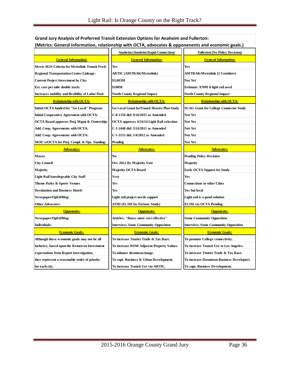| (Metrics: General Information, relationship with OCTA, advocates & opponenents and economic goals.) |                                             |                                               |  |  |  |  |
|-----------------------------------------------------------------------------------------------------|---------------------------------------------|-----------------------------------------------|--|--|--|--|
|                                                                                                     | <b>Anaheim (Anaheim Rapid Connection)</b>   | <b>Fullerton (No Policy Decision)</b>         |  |  |  |  |
| <b>General Information:</b>                                                                         | <b>General Information:</b>                 | <b>General Information:</b>                   |  |  |  |  |
| Meets M2S Criteria for Metrolink Transit Feed:                                                      | Yes                                         | <b>Yes</b>                                    |  |  |  |  |
| <b>Regional Transportation Center Linkage:</b>                                                      | <b>ARTIC (AMTRAK/Metrolink)</b>             | <b>AMTRAK/Metrolink (2 Corridors)</b>         |  |  |  |  |
| <b>Current Project Investment by City:</b>                                                          | \$3,603M                                    | <b>Not Yet</b>                                |  |  |  |  |
| Est. cost per mile double track:                                                                    | \$100M                                      | Estimate: \$70M if light rail used            |  |  |  |  |
| <b>Increases mobility and flexibility of Labor Pool:</b>                                            | <b>North County Regional Impact</b>         | North County Regional Impact                  |  |  |  |  |
| <b>Relationship with OCTA:</b>                                                                      | <b>Relationship with OCTA:</b>              | <b>Relationship with OCTA:</b>                |  |  |  |  |
| Initial OCTA funded for "Go Local" Program:                                                         | Go Local Grant forTransit Master Plan Study | <b>SCAG Grant for College Connector Study</b> |  |  |  |  |
| <b>Initial Cooperative Agreement with OCTA:</b>                                                     | C-8-1156 dtd. 9/16/2015 as Amended          | <b>Not Yet</b>                                |  |  |  |  |
| OCTA Board approves Proj. Mgmt & Ownership:                                                         | OCTA approves 6/24/14 Light Rail selection  | Not Yet                                       |  |  |  |  |
| Add. Coop. Agreements with OCTA:                                                                    | C-1-2448 dtd. 3/14/2011 as Amended          | Not Yet                                       |  |  |  |  |
| Add. Coop. Agreements with OCTA:                                                                    | C-1-3115 dtd. 1/4/2012 as Amended           | Not Yet                                       |  |  |  |  |
| MOU w/OCTA for Proj. Compl. & Ops. Funding:                                                         | Pending                                     | <b>Not Yet</b>                                |  |  |  |  |
| <b>Advocates:</b>                                                                                   | <b>Advocates:</b>                           | <b>Advocates:</b>                             |  |  |  |  |
| Mayor                                                                                               | No                                          | <b>Pending Policy Decision</b>                |  |  |  |  |
| <b>City Council</b>                                                                                 | Oct. 2012 By Majority Vote                  | Majority                                      |  |  |  |  |
| Majority                                                                                            | Majority OCTA Board                         | <b>Early OCTA Support for Study</b>           |  |  |  |  |
| <b>Light Rail knowlegeable City Staff</b>                                                           | Verv                                        | Yes                                           |  |  |  |  |
| Theme Parks & Sports Venues                                                                         | Yes                                         | <b>Connections to other Cities</b>            |  |  |  |  |
| <b>Destination and Business Hotels</b>                                                              | Yes                                         | Yes but local                                 |  |  |  |  |
| Newspaper/OpEd/Blog:                                                                                | Light rail project needs support            | Light rail is a good solution                 |  |  |  |  |
| <b>Other Advocates:</b>                                                                             | ATID (\$1.3M for Eiviron. Study)            | \$3.5M via OCTA Pending                       |  |  |  |  |
| <b>Opponents:</b>                                                                                   | <b>Opponents:</b>                           | <b>Opponents:</b>                             |  |  |  |  |
| Newspaper/OpEd/Blog:                                                                                | Articles: "Buses more cost effective"       | <b>Some Community Opposition</b>              |  |  |  |  |
| Individuals:                                                                                        | <b>Interview: Some Community Opposition</b> | <b>Interview: Some Community Opposition</b>   |  |  |  |  |
| <b>Economic Goals:</b>                                                                              | <b>Economic Goals:</b>                      | <b>Economic Goals:</b>                        |  |  |  |  |
| Although these economic goals may not be all                                                        | To increase Tourist Trade & Tax Base.       | To promote College connectivity.              |  |  |  |  |
| inclusive, based opon the Return on Investment                                                      | To increase ROW Adjacent Property Values.   | To increase Transit Use to Los Angeles.       |  |  |  |  |
| expectations from Report Investigation,                                                             | To inhance downtown image.                  | To increase Tourist Trade & Tax Base.         |  |  |  |  |
| they represent a reasonable order of priority                                                       | To supt. Business & Urban Development.      | To increase Downtown Business Developm't.     |  |  |  |  |
| for each city.                                                                                      | To increase Transit Use via ARTIC.          | To supt. Business Development.                |  |  |  |  |

## **Grand Jury Analysis of Preferred Transit Extension Options for Anaheim and Fullerton:**